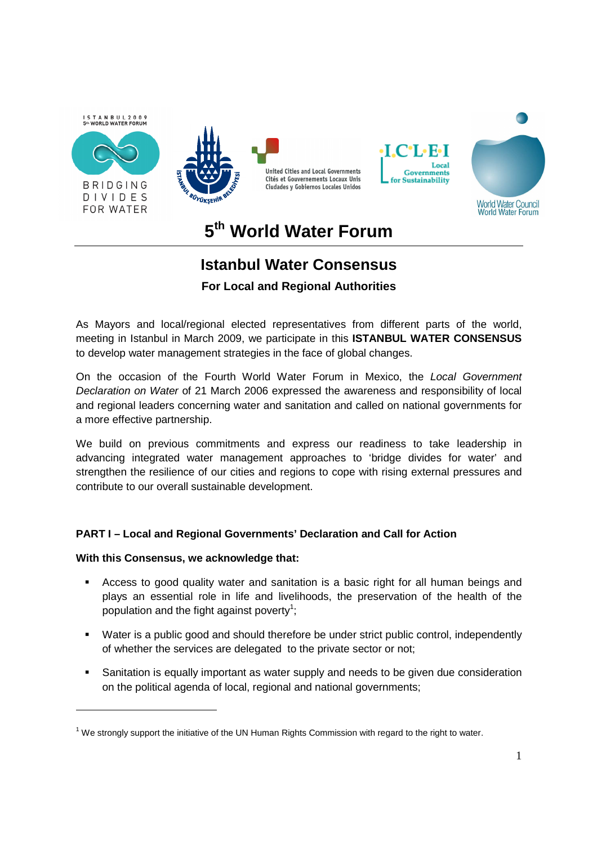

#### **5 th World Water Forum**

# **Istanbul Water Consensus**

**For Local and Regional Authorities** 

As Mayors and local/regional elected representatives from different parts of the world, meeting in Istanbul in March 2009, we participate in this **ISTANBUL WATER CONSENSUS** to develop water management strategies in the face of global changes.

On the occasion of the Fourth World Water Forum in Mexico, the Local Government Declaration on Water of 21 March 2006 expressed the awareness and responsibility of local and regional leaders concerning water and sanitation and called on national governments for a more effective partnership.

We build on previous commitments and express our readiness to take leadership in advancing integrated water management approaches to 'bridge divides for water' and strengthen the resilience of our cities and regions to cope with rising external pressures and contribute to our overall sustainable development.

# **PART I – Local and Regional Governments' Declaration and Call for Action**

#### **With this Consensus, we acknowledge that:**

-

- Access to good quality water and sanitation is a basic right for all human beings and plays an essential role in life and livelihoods, the preservation of the health of the population and the fight against poverty<sup>1</sup>;
- Water is a public good and should therefore be under strict public control, independently of whether the services are delegated to the private sector or not;
- Sanitation is equally important as water supply and needs to be given due consideration on the political agenda of local, regional and national governments;

 $1$  We strongly support the initiative of the UN Human Rights Commission with regard to the right to water.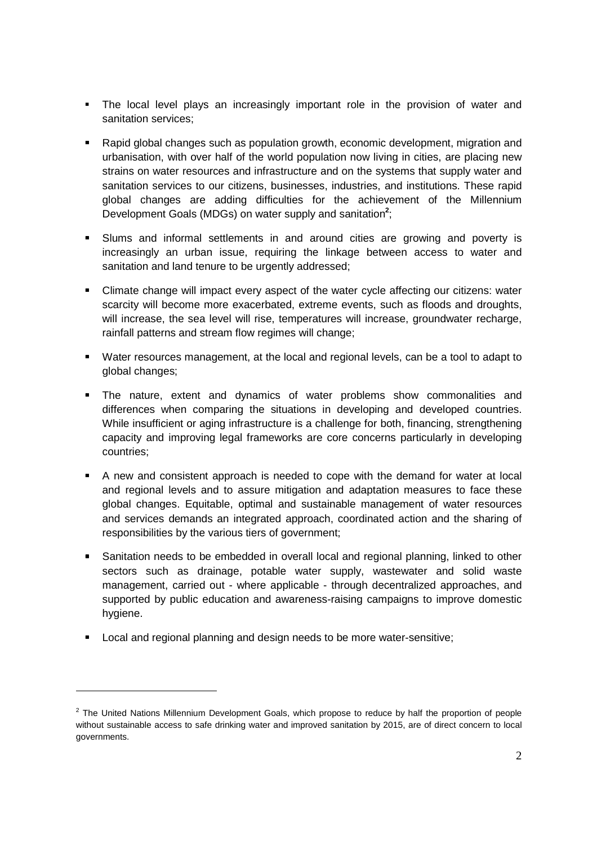- The local level plays an increasingly important role in the provision of water and sanitation services;
- Rapid global changes such as population growth, economic development, migration and urbanisation, with over half of the world population now living in cities, are placing new strains on water resources and infrastructure and on the systems that supply water and sanitation services to our citizens, businesses, industries, and institutions. These rapid global changes are adding difficulties for the achievement of the Millennium Development Goals (MDGs) on water supply and sanitation**<sup>2</sup>** ;
- Slums and informal settlements in and around cities are growing and poverty is increasingly an urban issue, requiring the linkage between access to water and sanitation and land tenure to be urgently addressed;
- Climate change will impact every aspect of the water cycle affecting our citizens: water scarcity will become more exacerbated, extreme events, such as floods and droughts, will increase, the sea level will rise, temperatures will increase, groundwater recharge, rainfall patterns and stream flow regimes will change;
- Water resources management, at the local and regional levels, can be a tool to adapt to global changes;
- **The nature, extent and dynamics of water problems show commonalities and** differences when comparing the situations in developing and developed countries. While insufficient or aging infrastructure is a challenge for both, financing, strengthening capacity and improving legal frameworks are core concerns particularly in developing countries;
- A new and consistent approach is needed to cope with the demand for water at local and regional levels and to assure mitigation and adaptation measures to face these global changes. Equitable, optimal and sustainable management of water resources and services demands an integrated approach, coordinated action and the sharing of responsibilities by the various tiers of government;
- Sanitation needs to be embedded in overall local and regional planning, linked to other sectors such as drainage, potable water supply, wastewater and solid waste management, carried out - where applicable - through decentralized approaches, and supported by public education and awareness-raising campaigns to improve domestic hygiene.
- **Local and regional planning and design needs to be more water-sensitive;**

-

 $2$  The United Nations Millennium Development Goals, which propose to reduce by half the proportion of people without sustainable access to safe drinking water and improved sanitation by 2015, are of direct concern to local governments.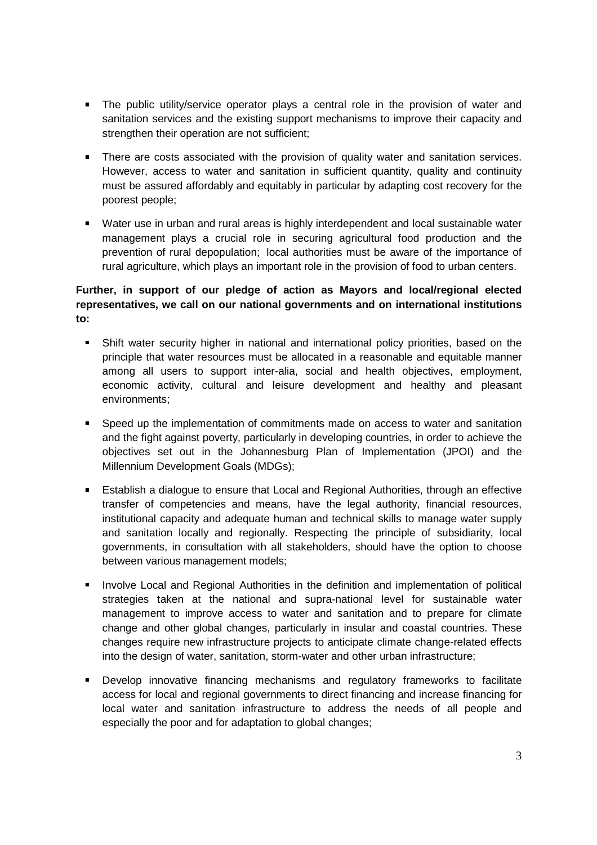- The public utility/service operator plays a central role in the provision of water and sanitation services and the existing support mechanisms to improve their capacity and strengthen their operation are not sufficient;
- **There are costs associated with the provision of quality water and sanitation services.** However, access to water and sanitation in sufficient quantity, quality and continuity must be assured affordably and equitably in particular by adapting cost recovery for the poorest people;
- Water use in urban and rural areas is highly interdependent and local sustainable water management plays a crucial role in securing agricultural food production and the prevention of rural depopulation; local authorities must be aware of the importance of rural agriculture, which plays an important role in the provision of food to urban centers.

# **Further, in support of our pledge of action as Mayors and local/regional elected representatives, we call on our national governments and on international institutions to:**

- Shift water security higher in national and international policy priorities, based on the principle that water resources must be allocated in a reasonable and equitable manner among all users to support inter-alia, social and health objectives, employment, economic activity, cultural and leisure development and healthy and pleasant environments;
- Speed up the implementation of commitments made on access to water and sanitation and the fight against poverty, particularly in developing countries, in order to achieve the objectives set out in the Johannesburg Plan of Implementation (JPOI) and the Millennium Development Goals (MDGs);
- Establish a dialogue to ensure that Local and Regional Authorities, through an effective transfer of competencies and means, have the legal authority, financial resources, institutional capacity and adequate human and technical skills to manage water supply and sanitation locally and regionally. Respecting the principle of subsidiarity, local governments, in consultation with all stakeholders, should have the option to choose between various management models;
- **Involve Local and Regional Authorities in the definition and implementation of political** strategies taken at the national and supra-national level for sustainable water management to improve access to water and sanitation and to prepare for climate change and other global changes, particularly in insular and coastal countries. These changes require new infrastructure projects to anticipate climate change-related effects into the design of water, sanitation, storm-water and other urban infrastructure;
- Develop innovative financing mechanisms and regulatory frameworks to facilitate access for local and regional governments to direct financing and increase financing for local water and sanitation infrastructure to address the needs of all people and especially the poor and for adaptation to global changes;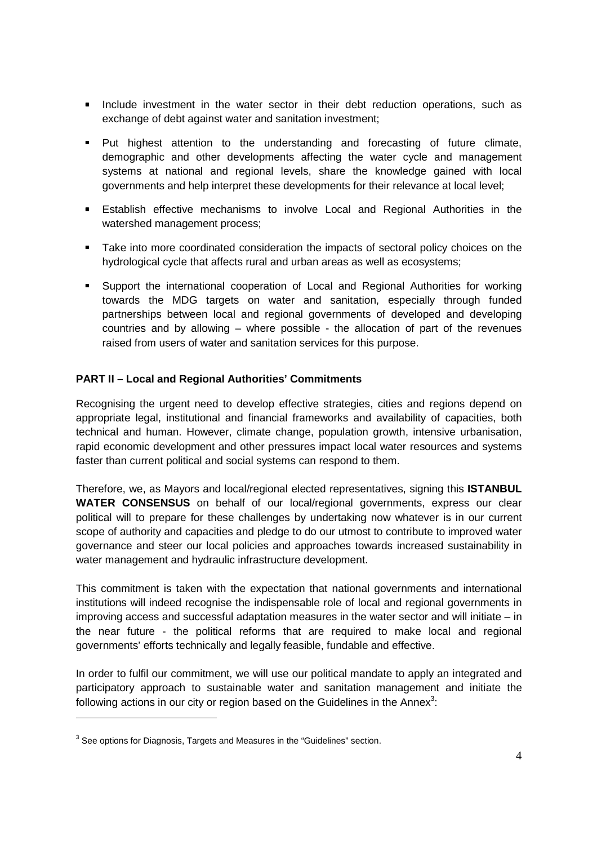- **Include investment in the water sector in their debt reduction operations, such as** exchange of debt against water and sanitation investment;
- Put highest attention to the understanding and forecasting of future climate, demographic and other developments affecting the water cycle and management systems at national and regional levels, share the knowledge gained with local governments and help interpret these developments for their relevance at local level;
- Establish effective mechanisms to involve Local and Regional Authorities in the watershed management process;
- **Take into more coordinated consideration the impacts of sectoral policy choices on the** hydrological cycle that affects rural and urban areas as well as ecosystems;
- Support the international cooperation of Local and Regional Authorities for working towards the MDG targets on water and sanitation, especially through funded partnerships between local and regional governments of developed and developing countries and by allowing – where possible - the allocation of part of the revenues raised from users of water and sanitation services for this purpose.

#### **PART II – Local and Regional Authorities' Commitments**

Recognising the urgent need to develop effective strategies, cities and regions depend on appropriate legal, institutional and financial frameworks and availability of capacities, both technical and human. However, climate change, population growth, intensive urbanisation, rapid economic development and other pressures impact local water resources and systems faster than current political and social systems can respond to them.

Therefore, we, as Mayors and local/regional elected representatives, signing this **ISTANBUL WATER CONSENSUS** on behalf of our local/regional governments, express our clear political will to prepare for these challenges by undertaking now whatever is in our current scope of authority and capacities and pledge to do our utmost to contribute to improved water governance and steer our local policies and approaches towards increased sustainability in water management and hydraulic infrastructure development.

This commitment is taken with the expectation that national governments and international institutions will indeed recognise the indispensable role of local and regional governments in improving access and successful adaptation measures in the water sector and will initiate – in the near future - the political reforms that are required to make local and regional governments' efforts technically and legally feasible, fundable and effective.

In order to fulfil our commitment, we will use our political mandate to apply an integrated and participatory approach to sustainable water and sanitation management and initiate the following actions in our city or region based on the Guidelines in the Annex $3$ :

-

 $3$  See options for Diagnosis, Targets and Measures in the "Guidelines" section.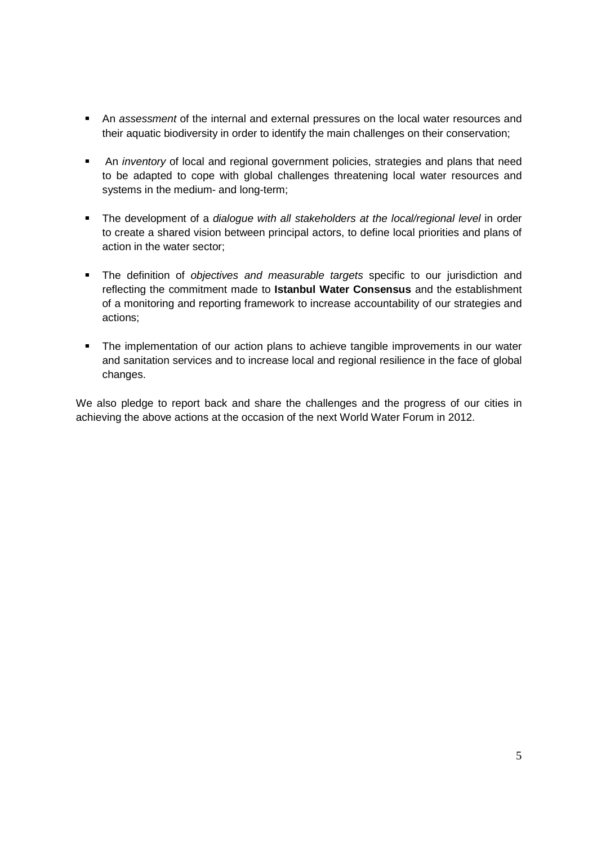- An assessment of the internal and external pressures on the local water resources and their aquatic biodiversity in order to identify the main challenges on their conservation;
- An *inventory* of local and regional government policies, strategies and plans that need to be adapted to cope with global challenges threatening local water resources and systems in the medium- and long-term;
- The development of a dialogue with all stakeholders at the local/regional level in order to create a shared vision between principal actors, to define local priorities and plans of action in the water sector;
- The definition of objectives and measurable targets specific to our jurisdiction and reflecting the commitment made to **Istanbul Water Consensus** and the establishment of a monitoring and reporting framework to increase accountability of our strategies and actions;
- The implementation of our action plans to achieve tangible improvements in our water and sanitation services and to increase local and regional resilience in the face of global changes.

We also pledge to report back and share the challenges and the progress of our cities in achieving the above actions at the occasion of the next World Water Forum in 2012.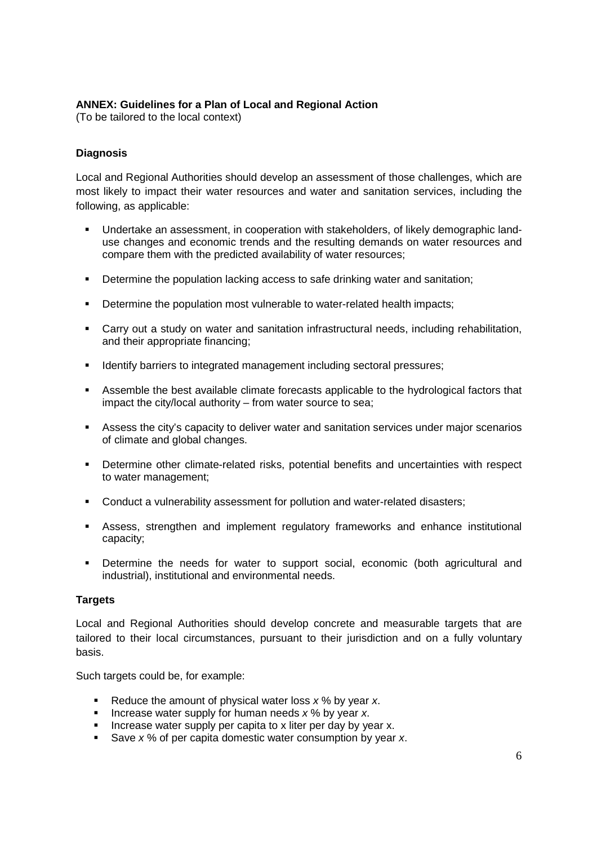# **ANNEX: Guidelines for a Plan of Local and Regional Action**

(To be tailored to the local context)

### **Diagnosis**

Local and Regional Authorities should develop an assessment of those challenges, which are most likely to impact their water resources and water and sanitation services, including the following, as applicable:

- Undertake an assessment, in cooperation with stakeholders, of likely demographic landuse changes and economic trends and the resulting demands on water resources and compare them with the predicted availability of water resources;
- Determine the population lacking access to safe drinking water and sanitation;
- Determine the population most vulnerable to water-related health impacts;
- Carry out a study on water and sanitation infrastructural needs, including rehabilitation, and their appropriate financing;
- **IDENTIFY IDENTIFY 10 INTEGRATE:** Identify barriers to integrated management including sectoral pressures;
- Assemble the best available climate forecasts applicable to the hydrological factors that impact the city/local authority – from water source to sea;
- Assess the city's capacity to deliver water and sanitation services under major scenarios of climate and global changes.
- Determine other climate-related risks, potential benefits and uncertainties with respect to water management;
- Conduct a vulnerability assessment for pollution and water-related disasters;
- Assess, strengthen and implement regulatory frameworks and enhance institutional capacity;
- Determine the needs for water to support social, economic (both agricultural and industrial), institutional and environmental needs.

#### **Targets**

Local and Regional Authorities should develop concrete and measurable targets that are tailored to their local circumstances, pursuant to their jurisdiction and on a fully voluntary basis.

Such targets could be, for example:

- Reduce the amount of physical water loss  $x$  % by year  $x$ .
- Increase water supply for human needs  $x$  % by year x.
- Increase water supply per capita to x liter per day by year x.
- Save  $x$ % of per capita domestic water consumption by year x.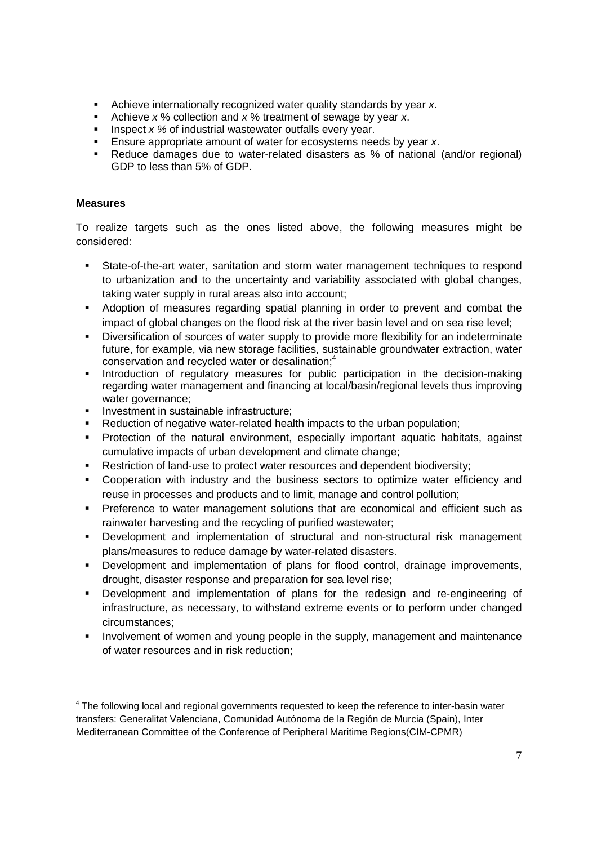- Achieve internationally recognized water quality standards by year x.
- Achieve  $x$ % collection and  $x$ % treatment of sewage by year x.
- Inspect x % of industrial wastewater outfalls every year.
- Ensure appropriate amount of water for ecosystems needs by year x.
- Reduce damages due to water-related disasters as % of national (and/or regional) GDP to less than 5% of GDP.

### **Measures**

-

To realize targets such as the ones listed above, the following measures might be considered:

- State-of-the-art water, sanitation and storm water management techniques to respond to urbanization and to the uncertainty and variability associated with global changes, taking water supply in rural areas also into account;
- Adoption of measures regarding spatial planning in order to prevent and combat the impact of global changes on the flood risk at the river basin level and on sea rise level;
- Diversification of sources of water supply to provide more flexibility for an indeterminate future, for example, via new storage facilities, sustainable groundwater extraction, water conservation and recycled water or desalination;<sup>4</sup>
- **Introduction of regulatory measures for public participation in the decision-making** regarding water management and financing at local/basin/regional levels thus improving water governance;
- Investment in sustainable infrastructure;
- Reduction of negative water-related health impacts to the urban population;
- Protection of the natural environment, especially important aquatic habitats, against cumulative impacts of urban development and climate change;
- Restriction of land-use to protect water resources and dependent biodiversity;
- Cooperation with industry and the business sectors to optimize water efficiency and reuse in processes and products and to limit, manage and control pollution;
- Preference to water management solutions that are economical and efficient such as rainwater harvesting and the recycling of purified wastewater;
- Development and implementation of structural and non-structural risk management plans/measures to reduce damage by water-related disasters.
- **•** Development and implementation of plans for flood control, drainage improvements, drought, disaster response and preparation for sea level rise;
- Development and implementation of plans for the redesign and re-engineering of infrastructure, as necessary, to withstand extreme events or to perform under changed circumstances;
- Involvement of women and young people in the supply, management and maintenance of water resources and in risk reduction;

<sup>&</sup>lt;sup>4</sup> The following local and regional governments requested to keep the reference to inter-basin water transfers: Generalitat Valenciana, Comunidad Autónoma de la Región de Murcia (Spain), Inter Mediterranean Committee of the Conference of Peripheral Maritime Regions(CIM-CPMR)